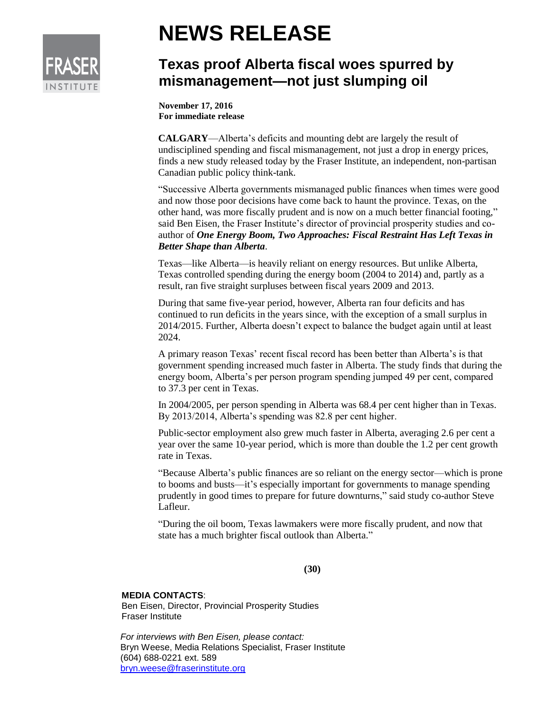

## **NEWS RELEASE**

## **Texas proof Alberta fiscal woes spurred by mismanagement—not just slumping oil**

**November 17, 2016 For immediate release**

**CALGARY**—Alberta's deficits and mounting debt are largely the result of undisciplined spending and fiscal mismanagement, not just a drop in energy prices, finds a new study released today by the Fraser Institute, an independent, non-partisan Canadian public policy think-tank.

"Successive Alberta governments mismanaged public finances when times were good and now those poor decisions have come back to haunt the province. Texas, on the other hand, was more fiscally prudent and is now on a much better financial footing," said Ben Eisen, the Fraser Institute's director of provincial prosperity studies and coauthor of *One Energy Boom, Two Approaches: Fiscal Restraint Has Left Texas in Better Shape than Alberta*.

Texas—like Alberta—is heavily reliant on energy resources. But unlike Alberta, Texas controlled spending during the energy boom (2004 to 2014) and, partly as a result, ran five straight surpluses between fiscal years 2009 and 2013.

During that same five-year period, however, Alberta ran four deficits and has continued to run deficits in the years since, with the exception of a small surplus in 2014/2015. Further, Alberta doesn't expect to balance the budget again until at least 2024.

A primary reason Texas' recent fiscal record has been better than Alberta's is that government spending increased much faster in Alberta. The study finds that during the energy boom, Alberta's per person program spending jumped 49 per cent, compared to 37.3 per cent in Texas.

In 2004/2005, per person spending in Alberta was 68.4 per cent higher than in Texas. By 2013/2014, Alberta's spending was 82.8 per cent higher.

Public-sector employment also grew much faster in Alberta, averaging 2.6 per cent a year over the same 10-year period, which is more than double the 1.2 per cent growth rate in Texas.

"Because Alberta's public finances are so reliant on the energy sector—which is prone to booms and busts—it's especially important for governments to manage spending prudently in good times to prepare for future downturns," said study co-author Steve Lafleur.

"During the oil boom, Texas lawmakers were more fiscally prudent, and now that state has a much brighter fiscal outlook than Alberta."

**(30)**

## **MEDIA CONTACTS**:

Ben Eisen, Director, Provincial Prosperity Studies Fraser Institute

*For interviews with Ben Eisen, please contact:*  Bryn Weese, Media Relations Specialist, Fraser Institute (604) 688-0221 ext. 589 [bryn.weese@fraserinstitute.org](mailto:bryn.weese@fraserinstitute.org)